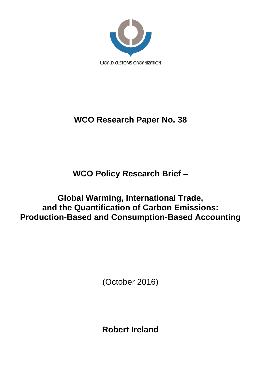

# **WCO Research Paper No. 38**

**WCO Policy Research Brief –**

**Global Warming, International Trade, and the Quantification of Carbon Emissions: Production-Based and Consumption-Based Accounting**

(October 2016)

**Robert Ireland**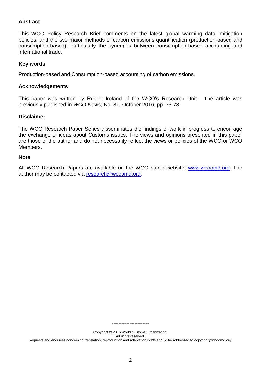# **Abstract**

This WCO Policy Research Brief comments on the latest global warming data, mitigation policies, and the two major methods of carbon emissions quantification (production-based and consumption-based), particularly the synergies between consumption-based accounting and international trade.

# **Key words**

Production-based and Consumption-based accounting of carbon emissions.

# **Acknowledgements**

This paper was written by Robert Ireland of the WCO's Research Unit. The article was previously published in *WCO News*, No. 81, October 2016, pp. 75-78.

# **Disclaimer**

The WCO Research Paper Series disseminates the findings of work in progress to encourage the exchange of ideas about Customs issues. The views and opinions presented in this paper are those of the author and do not necessarily reflect the views or policies of the WCO or WCO Members.

# **Note**

All WCO Research Papers are available on the WCO public website: [www.wcoomd.org.](http://www.wcoomd.org/) The author may be contacted via [research@wcoomd.org.](mailto:research@wcoomd.org)

> Copyright © 2016 World Customs Organization. All rights reserved.

-----------------------

Requests and enquiries concerning translation, reproduction and adaptation rights should be addressed to copyright@wcoomd.org.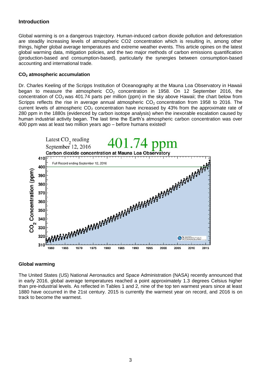# **Introduction**

Global warming is on a dangerous trajectory. Human-induced carbon dioxide pollution and deforestation are steadily increasing levels of atmospheric CO2 concentration which is resulting in, among other things, higher global average temperatures and extreme weather events. This article opines on the latest global warming data, mitigation policies, and the two major methods of carbon emissions quantification (production-based and consumption-based), particularly the synergies between consumption-based accounting and international trade.

#### **CO<sup>2</sup> atmospheric accumulation**

Dr. Charles Keeling of the Scripps Institution of Oceanography at the Mauna Loa Observatory in Hawaii began to measure the atmospheric  $CO<sub>2</sub>$  concentration in 1958. On 12 September 2016, the concentration of  $CO<sub>2</sub>$  was 401.74 parts per million (ppm) in the sky above Hawaii; the chart below from Scripps reflects the rise in average annual atmospheric  $CO<sub>2</sub>$  concentration from 1958 to 2016. The current levels of atmospheric  $CO<sub>2</sub>$  concentration have increased by 43% from the approximate rate of 280 ppm in the 1880s (evidenced by carbon isotope analysis) when the inexorable escalation caused by human industrial activity began. The last time the Earth's atmospheric carbon concentration was over 400 ppm was at least two million years ago – before humans existed!



# **Global warming**

The United States (US) National Aeronautics and Space Administration (NASA) recently announced that in early 2016, global average temperatures reached a point approximately 1.3 degrees Celsius higher than pre-industrial levels. As reflected in Tables 1 and 2, nine of the top ten warmest years since at least 1880 have occurred in the 21st century. 2015 is currently the warmest year on record, and 2016 is on track to become the warmest.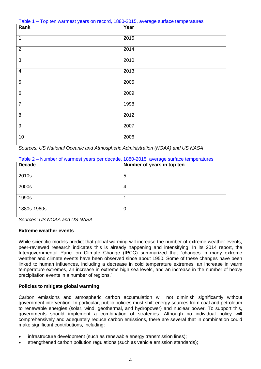Table 1 – Top ten warmest years on record, 1880-2015, average surface temperatures

| Rank             | Year |
|------------------|------|
| $\overline{1}$   | 2015 |
| $\overline{2}$   | 2014 |
| $\mathfrak{S}$   | 2010 |
| $\overline{4}$   | 2013 |
| $\overline{5}$   | 2005 |
| $\,6\,$          | 2009 |
| $\overline{7}$   | 1998 |
| $\,8\,$          | 2012 |
| $\boldsymbol{9}$ | 2007 |
| $10$             | 2006 |

*Sources: US National Oceanic and Atmospheric Administration (NOAA) and US NASA*

#### Table 2 – Number of warmest years per decade, 1880-2015, average surface temperatures

| <b>Decade</b> | Number of years in top ten |
|---------------|----------------------------|
| 2010s         | 5                          |
| 2000s         | 4                          |
| 1990s         |                            |
| 1880s-1980s   | 0                          |

*Sources: US NOAA and US NASA*

# **Extreme weather events**

While scientific models predict that global warming will increase the number of extreme weather events, peer-reviewed research indicates this is already happening and intensifying. In its 2014 report, the Intergovernmental Panel on Climate Change (IPCC) summarized that "changes in many extreme weather and climate events have been observed since about 1950. Some of these changes have been linked to human influences, including a decrease in cold temperature extremes, an increase in warm temperature extremes, an increase in extreme high sea levels, and an increase in the number of heavy precipitation events in a number of regions."

# **Policies to mitigate global warming**

Carbon emissions and atmospheric carbon accumulation will not diminish significantly without government intervention. In particular, public policies must shift energy sources from coal and petroleum to renewable energies (solar, wind, geothermal, and hydropower) and nuclear power. To support this, governments should implement a combination of strategies. Although no individual policy will comprehensively and adequately reduce carbon emissions, there are several that in combination could make significant contributions, including:

- infrastructure development (such as renewable energy transmission lines);
- strengthened carbon pollution regulations (such as vehicle emission standards);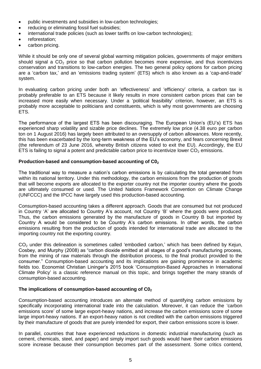- public investments and subsidies in low-carbon technologies;
- reducing or eliminating fossil fuel subsidies;
- international trade policies (such as lower tariffs on low-carbon technologies);
- reforestation;
- carbon pricing.

While it should be only one of several global warming mitigation policies, governments of major emitters should signal a  $CO<sub>2</sub>$  price so that carbon pollution becomes more expensive, and thus incentivizes conservation and transitions to low-carbon energies. The two general policy options for carbon pricing are a 'carbon tax,' and an 'emissions trading system' (ETS) which is also known as a 'cap-and-trade' system.

In evaluating carbon pricing under both an 'effectiveness' and 'efficiency' criteria, a carbon tax is probably preferable to an ETS because it likely results in more consistent carbon prices that can be increased more easily when necessary. Under a 'political feasibility' criterion, however, an ETS is probably more acceptable to politicians and constituents, which is why most governments are choosing ETS.

The performance of the largest ETS has been discouraging. The European Union's (EU's) ETS has experienced sharp volatility and sizable price declines. The extremely low price (4.38 euro per carbon ton on 1 August 2016) has largely been attributed to an oversupply of carbon allowances. More recently, this has been exacerbated by the long-term weakness of the EU's economy, and fears concerning Brexit (the referendum of 23 June 2016, whereby British citizens voted to exit the EU). Accordingly, the EU ETS is failing to signal a potent and predictable carbon price to incentivize lower  $CO<sub>2</sub>$  emissions.

# **Production-based and consumption-based accounting of C0<sup>2</sup>**

The traditional way to measure a nation's carbon emissions is by calculating the total generated from within its national territory. Under this methodology, the carbon emissions from the production of goods that will become exports are allocated to the exporter country not the importer country where the goods are ultimately consumed or used. The United Nations Framework Convention on Climate Change (UNFCCC) and the IPCC have largely used this production-based accounting.

Consumption-based accounting takes a different approach. Goods that are consumed but not produced in Country 'A' are allocated to Country A's account, not Country 'B' where the goods were produced. Thus, the carbon emissions generated by the manufacture of goods in Country B but imported by Country A would be considered to be Country A's carbon emissions. In other words, the carbon emissions resulting from the production of goods intended for international trade are allocated to the importing country not the exporting country.

 $CO<sub>2</sub>$  under this delineation is sometimes called 'embodied carbon,' which has been defined by Kejun, Cosbey, and Murphy (2008) as "carbon dioxide emitted at all stages of a good's manufacturing process, from the mining of raw materials through the distribution process, to the final product provided to the consumer." Consumption-based accounting and its implications are gaining prominence in academic fields too. Economist Christian Lininger's 2015 book 'Consumption-Based Approaches in International Climate Policy' is a classic reference manual on this topic, and brings together the many strands of consumption-based accounting.

# **The implications of consumption-based accounting of C0<sup>2</sup>**

Consumption-based accounting introduces an alternate method of quantifying carbon emissions by specifically incorporating international trade into the calculation. Moreover, it can reduce the 'carbon emissions score' of some large export-heavy nations, and increase the carbon emissions score of some large import-heavy nations. If an export-heavy nation is not credited with the carbon emissions triggered by their manufacture of goods that are purely intended for export, their carbon emissions score is lower.

In parallel, countries that have experienced reductions in domestic industrial manufacturing (such as cement, chemicals, steel, and paper) and simply import such goods would have their carbon emissions score increase because their consumption becomes part of the assessment. Some critics contend,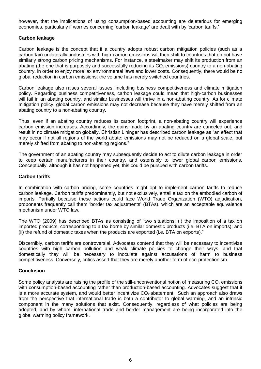however, that the implications of using consumption-based accounting are deleterious for emerging economies, particularly if worries concerning 'carbon leakage' are dealt with by 'carbon tariffs.'

# **Carbon leakage**

Carbon leakage is the concept that if a country adopts robust carbon mitigation policies (such as a carbon tax) unilaterally, industries with high-carbon emissions will then shift to countries that do not have similarly strong carbon pricing mechanisms. For instance, a steelmaker may shift its production from an abating (the one that is purposely and successfully reducing its  $CO<sub>2</sub>$  emissions) country to a non-abating country, in order to enjoy more lax environmental laws and lower costs. Consequently, there would be no global reduction in carbon emissions; the volume has merely switched countries.

Carbon leakage also raises several issues, including business competitiveness and climate mitigation policy. Regarding business competitiveness, carbon leakage could mean that high-carbon businesses will fail in an abating country, and similar businesses will thrive in a non-abating country. As for climate mitigation policy, global carbon emissions may not decrease because they have merely shifted from an abating country to a non-abating country.

Thus, even if an abating country reduces its carbon footprint, a non-abating country will experience carbon emission increases. Accordingly, the gains made by an abating country are canceled out, and result in no climate mitigation globally. Christian Lininger has described carbon leakage as "an effect that may occur if not all regions of the world abate: emissions may not be reduced on a global scale, but merely shifted from abating to non-abating regions."

The government of an abating country may subsequently decide to act to dilute carbon leakage in order to keep certain manufacturers in their country, and ostensibly to lower global carbon emissions. Conceptually, although it has not happened yet, this could be pursued with carbon tariffs.

# **Carbon tariffs**

In combination with carbon pricing, some countries might opt to implement carbon tariffs to reduce carbon leakage. Carbon tariffs predominantly, but not exclusively, entail a tax on the embodied carbon of imports. Partially because these actions could face World Trade Organization (WTO) adjudication, proponents frequently call them 'border tax adjustments' (BTAs), which are an acceptable equivalence mechanism under WTO law.

The WTO (2009) has described BTAs as consisting of "two situations: (i) the imposition of a tax on imported products, corresponding to a tax borne by similar domestic products (i.e. BTA on imports); and (ii) the refund of domestic taxes when the products are exported (i.e. BTA on exports)."

Discernibly, carbon tariffs are controversial. Advocates contend that they will be necessary to incentivize countries with high carbon pollution and weak climate policies to change their ways, and that domestically they will be necessary to inoculate against accusations of harm to business competitiveness. Conversely, critics assert that they are merely another form of eco-protectionism.

# **Conclusion**

Some policy analysts are raising the profile of the still-unconventional notion of measuring  $CO<sub>2</sub>$  emissions with consumption-based accounting rather than production-based accounting. Advocates suggest that it is a more accurate system, and would better incentivize  $CO<sub>2</sub>$  abatement. Such an approach also draws from the perspective that international trade is both a contributor to global warming, and an intrinsic component in the many solutions that exist. Consequently, regardless of what policies are being adopted, and by whom, international trade and border management are being incorporated into the global warming policy framework.